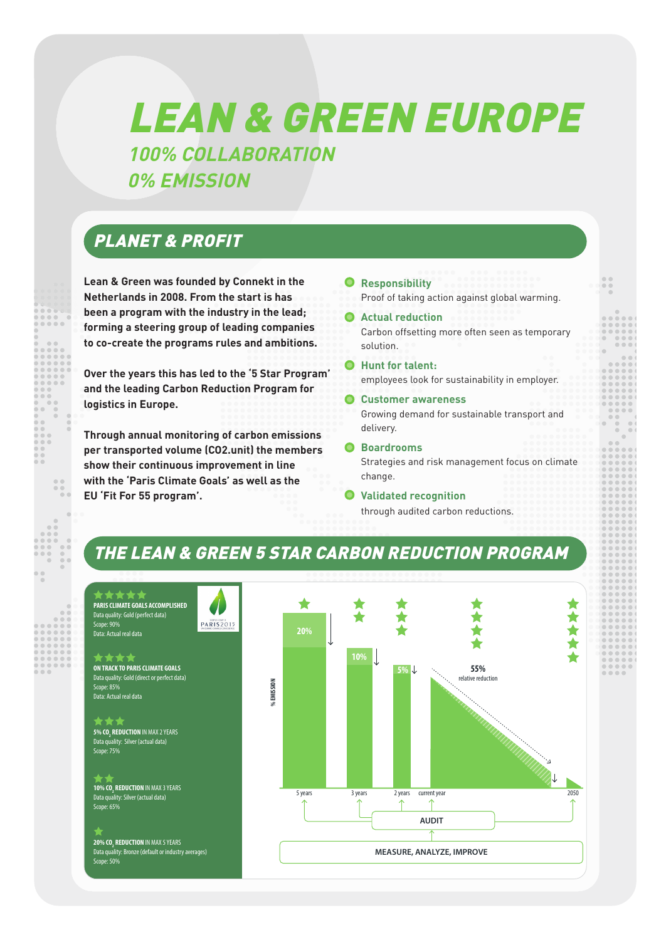# LEAN & GREEN EUROPE **100% COLLABORATION 0% EMISSION**

## PLANET & PROFIT

**Lean & Green was founded by Connekt in the Netherlands in 2008. From the start is has been a program with the industry in the lead; forming a steering group of leading companies to co-create the programs rules and ambitions.** 

**Over the years this has led to the '5 Star Program' and the leading Carbon Reduction Program for logistics in Europe.**

**Through annual monitoring of carbon emissions per transported volume (CO2.unit) the members show their continuous improvement in line with the 'Paris Climate Goals' as well as the EU 'Fit For 55 program'.**

- • **Responsibility**  Proof of taking action against global warming.
- • **Actual reduction** Carbon offsetting more often seen as temporary solution.
- • **Hunt for talent:** employees look for sustainability in employer.
- • **Customer awareness** Growing demand for sustainable transport and delivery.
- • **Boardrooms** Strategies and risk management focus on climate change.
- • **Validated recognition** through audited carbon reductions.

## THE LEAN & GREEN 5 STAR CARBON REDUCTION PROGRAM